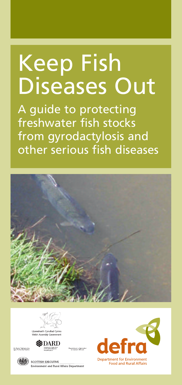# Keep Fish Diseases Out

A guide to protecting freshwater fish stocks from gyrodactylosis and other serious fish diseases





ent o Agricult





**SCOTTISH EXECUTIVE** Environment and Rural Affairs Department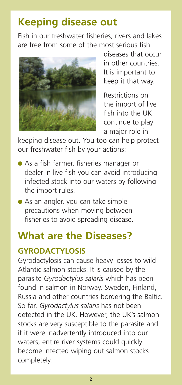# **Keeping disease out**

Fish in our freshwater fisheries, rivers and lakes are free from some of the most serious fish



diseases that occur in other countries. It is important to keep it that way.

Restrictions on the import of live fish into the UK continue to play a major role in

keeping disease out. You too can help protect our freshwater fish by your actions:

- **●** As a fish farmer, fisheries manager or dealer in live fish you can avoid introducing infected stock into our waters by following the import rules.
- **●** As an angler, you can take simple precautions when moving between fisheries to avoid spreading disease.

# **What are the Diseases?**

## **GYRODACTYLOSIS**

Gyrodactylosis can cause heavy losses to wild Atlantic salmon stocks. It is caused by the parasite *Gyrodactylus salaris* which has been found in salmon in Norway, Sweden, Finland, Russia and other countries bordering the Baltic. So far, *Gyrodactylus salaris* has not been detected in the UK. However, the UK's salmon stocks are very susceptible to the parasite and if it were inadvertently introduced into our waters, entire river systems could quickly become infected wiping out salmon stocks completely.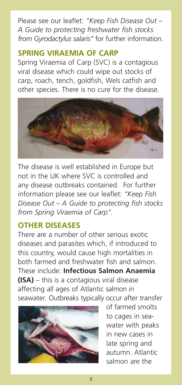Please see our leaflet: *"Keep Fish Disease Out – A Guide to protecting freshwater fish stocks from Gyrodactylus salaris"* for further information.

## **SPRING VIRAEMIA OF CARP**

Spring Viraemia of Carp (SVC) is a contagious viral disease which could wipe out stocks of carp, roach, tench, goldfish, Wels catfish and other species. There is no cure for the disease.



The disease is well established in Europe but not in the UK where SVC is controlled and any disease outbreaks contained. For further information please see our leaflet: *"Keep Fish Disease Out – A Guide to protecting fish stocks from Spring Viraemia of Carp"*.

# **OTHER DISEASES**

There are a number of other serious exotic diseases and parasites which, if introduced to this country, would cause high mortalities in both farmed and freshwater fish and salmon. These include: **Infectious Salmon Anaemia (ISA)** – this is a contagious viral disease affecting all ages of Atlantic salmon in seawater. Outbreaks typically occur after transfer



of farmed smolts to cages in seawater with peaks in new cases in late spring and autumn. Atlantic salmon are the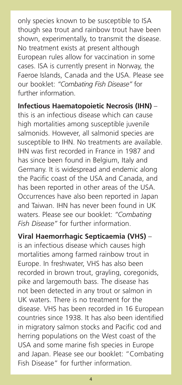only species known to be susceptible to ISA though sea trout and rainbow trout have been shown, experimentally, to transmit the disease. No treatment exists at present although European rules allow for vaccination in some cases. ISA is currently present in Norway, the Faeroe Islands, Canada and the USA. Please see our booklet: *"Combating Fish Disease"* for further information.

**Infectious Haematopoietic Necrosis (IHN)** – this is an infectious disease which can cause high mortalities among susceptible juvenile salmonids. However, all salmonid species are susceptible to IHN. No treatments are available. IHN was first recorded in France in 1987 and has since been found in Belgium, Italy and Germany. It is widespread and endemic along the Pacific coast of the USA and Canada, and has been reported in other areas of the USA. Occurrences have also been reported in Japan and Taiwan. IHN has never been found in UK waters. Please see our booklet: *"Combating Fish Disease"* for further information.

**Viral Haemorrhagic Septicaemia (VHS)** – is an infectious disease which causes high mortalities among farmed rainbow trout in Europe. In freshwater, VHS has also been recorded in brown trout, grayling, coregonids, pike and largemouth bass. The disease has not been detected in any trout or salmon in UK waters. There is no treatment for the disease. VHS has been recorded in 16 European countries since 1938. It has also been identified in migratory salmon stocks and Pacific cod and herring populations on the West coast of the USA and some marine fish species in Europe and Japan. Please see our booklet: "Combating Fish Disease" for further information.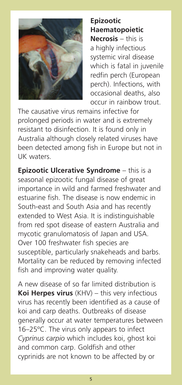

**Epizootic Haematopoietic Necrosis** – this is a highly infectious systemic viral disease which is fatal in juvenile redfin perch (European perch). Infections, with occasional deaths, also occur in rainbow trout.

The causative virus remains infective for prolonged periods in water and is extremely resistant to disinfection. It is found only in Australia although closely related viruses have been detected among fish in Europe but not in UK waters.

**Epizootic Ulcerative Syndrome** – this is a seasonal epizootic fungal disease of great importance in wild and farmed freshwater and estuarine fish. The disease is now endemic in South-east and South Asia and has recently extended to West Asia. It is indistinguishable from red spot disease of eastern Australia and mycotic granulomatosis of Japan and USA. Over 100 freshwater fish species are susceptible, particularly snakeheads and barbs. Mortality can be reduced by removing infected fish and improving water quality.

A new disease of so far limited distribution is **Koi Herpes virus** (KHV) – this very infectious virus has recently been identified as a cause of koi and carp deaths. Outbreaks of disease generally occur at water temperatures between 16–25ºC. The virus only appears to infect *Cyprinus carpio* which includes koi, ghost koi and common carp. Goldfish and other cyprinids are not known to be affected by or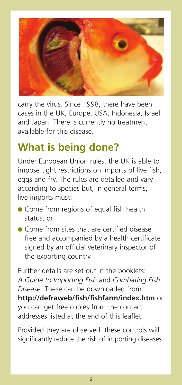

carry the virus. Since 1998, there have been cases in the UK, Europe, USA, Indonesia, Israel and Japan. There is currently no treatment available for this disease.

# **What is being done?**

Under European Union rules, the UK is able to impose tight restrictions on imports of live fish, eggs and fry. The rules are detailed and vary according to species but, in general terms, live imports must:

- **●** Come from regions of equal fish health status, or
- **●** Come from sites that are certified disease free and accompanied by a health certificate signed by an official veterinary inspector of the exporting country.

Further details are set out in the booklets: *A Guide to Importing Fish* and *Combating Fish Disease*. These can be downloaded from **http://defraweb/fish/fishfarm/index.htm** or you can get free copies from the contact addresses listed at the end of this leaflet.

Provided they are observed, these controls will significantly reduce the risk of importing diseases.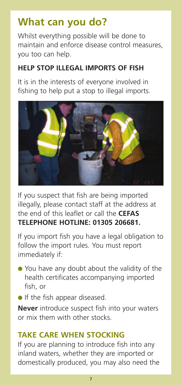# **What can you do?**

Whilst everything possible will be done to maintain and enforce disease control measures, you too can help.

### **HELP STOP ILLEGAL IMPORTS OF FISH**

It is in the interests of everyone involved in fishing to help put a stop to illegal imports.



If you suspect that fish are being imported illegally, please contact staff at the address at the end of this leaflet or call the **CEFAS TELEPHONE HOTLINE: 01305 206681.**

If you import fish you have a legal obligation to follow the import rules. You must report immediately if:

- **●** You have any doubt about the validity of the health certificates accompanying imported fish, or
- **●** If the fish appear diseased.

**Never** introduce suspect fish into your waters or mix them with other stocks.

## **TAKE CARE WHEN STOCKING**

If you are planning to introduce fish into any inland waters, whether they are imported or domestically produced, you may also need the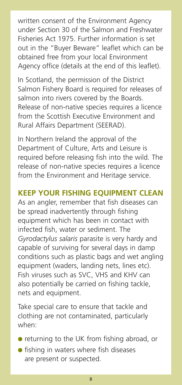written consent of the Environment Agency under Section 30 of the Salmon and Freshwater Fisheries Act 1975. Further information is set out in the "Buyer Beware" leaflet which can be obtained free from your local Environment Agency office (details at the end of this leaflet).

In Scotland, the permission of the District Salmon Fishery Board is required for releases of salmon into rivers covered by the Boards. Release of non-native species requires a licence from the Scottish Executive Environment and Rural Affairs Department (SEERAD).

In Northern Ireland the approval of the Department of Culture, Arts and Leisure is required before releasing fish into the wild. The release of non-native species requires a licence from the Environment and Heritage service.

#### **KEEP YOUR FISHING EQUIPMENT CLEAN**

As an angler, remember that fish diseases can be spread inadvertently through fishing equipment which has been in contact with infected fish, water or sediment. The *Gyrodactylus salaris* parasite is very hardy and capable of surviving for several days in damp conditions such as plastic bags and wet angling equipment (waders, landing nets, lines etc). Fish viruses such as SVC, VHS and KHV can also potentially be carried on fishing tackle, nets and equipment.

Take special care to ensure that tackle and clothing are not contaminated, particularly when:

- **●** returning to the UK from fishing abroad, or
- **●** fishing in waters where fish diseases are present or suspected.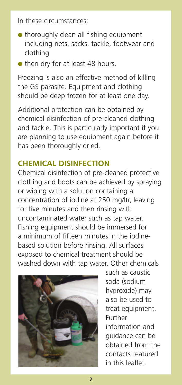In these circumstances:

- **●** thoroughly clean all fishing equipment including nets, sacks, tackle, footwear and clothing
- **●** then dry for at least 48 hours.

Freezing is also an effective method of killing the GS parasite. Equipment and clothing should be deep frozen for at least one day.

Additional protection can be obtained by chemical disinfection of pre-cleaned clothing and tackle. This is particularly important if you are planning to use equipment again before it has been thoroughly dried.

#### **CHEMICAL DISINFECTION**

Chemical disinfection of pre-cleaned protective clothing and boots can be achieved by spraying or wiping with a solution containing a concentration of iodine at 250 mg/ltr, leaving for five minutes and then rinsing with uncontaminated water such as tap water. Fishing equipment should be immersed for a minimum of fifteen minutes in the iodinebased solution before rinsing. All surfaces exposed to chemical treatment should be washed down with tap water. Other chemicals



such as caustic soda (sodium hydroxide) may also be used to treat equipment. Further information and guidance can be obtained from the contacts featured in this leaflet.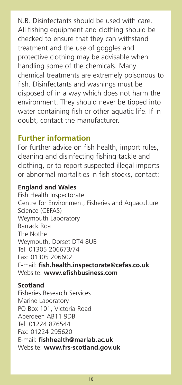N.B. Disinfectants should be used with care. All fishing equipment and clothing should be checked to ensure that they can withstand treatment and the use of goggles and protective clothing may be advisable when handling some of the chemicals. Many chemical treatments are extremely poisonous to fish. Disinfectants and washings must be disposed of in a way which does not harm the environment. They should never be tipped into water containing fish or other aquatic life. If in doubt, contact the manufacturer.

## **Further information**

For further advice on fish health, import rules, cleaning and disinfecting fishing tackle and clothing, or to report suspected illegal imports or abnormal mortalities in fish stocks, contact:

#### **England and Wales**

Fish Health Inspectorate Centre for Environment, Fisheries and Aquaculture Science (CEFAS) Weymouth Laboratory Barrack Roa The Nothe Weymouth, Dorset DT4 8UB Tel: 01305 206673/74 Fax: 01305 206602 E-mail: **fish.health.inspectorate@cefas.co.uk** Website: **www.efishbusiness.com**

#### **Scotland**

Fisheries Research Services Marine Laboratory PO Box 101, Victoria Road Aberdeen AB11 9DB Tel: 01224 876544 Fax: 01224 295620 E-mail: **fishhealth@marlab.ac.uk** Website: **www.frs-scotland.gov.uk**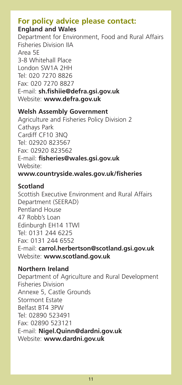#### **For policy advice please contact: England and Wales**

Department for Environment, Food and Rural Affairs Fisheries Division IIA Area 5E 3-8 Whitehall Place London SW1A 2HH Tel: 020 7270 8826 Fax: 020 7270 8827 E-mail: **sh.fishiie@defra.gsi.gov.uk** Website: **www.defra.gov.uk**

#### **Welsh Assembly Government**

Agriculture and Fisheries Policy Division 2 Cathays Park Cardiff CF10 3NQ Tel: 02920 823567 Fax: 02920 823562 E-mail: **fisheries@wales.gsi.gov.uk** Website: **www.countryside.wales.gov.uk/fisheries**

#### **Scotland**

Scottish Executive Environment and Rural Affairs Department (SEERAD) Pentland House 47 Robb's Loan Edinburgh EH14 1TW| Tel: 0131 244 6225 Fax: 0131 244 6552 E-mail: **carrol.herbertson@scotland.gsi.gov.uk** Website: **www.scotland.gov.uk**

#### **Northern Ireland**

Department of Agriculture and Rural Development Fisheries Division Annexe 5, Castle Grounds Stormont Estate Belfast BT4 3PW Tel: 02890 523491 Fax: 02890 523121 E-mail: **Nigel.Quinn@dardni.gov.uk** Website: **www.dardni.gov.uk**